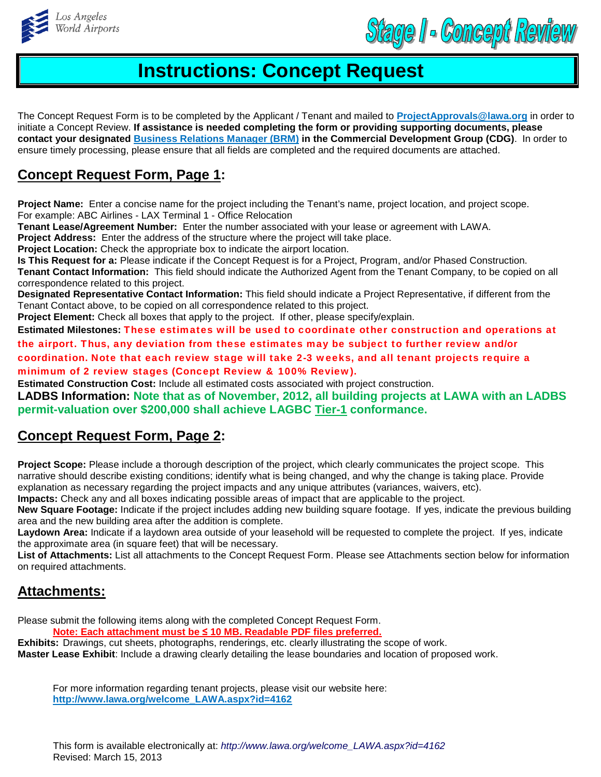

Stage I - Concept Review

## **Instructions: Concept Request**

The Concept Request Form is to be completed by the Applicant / Tenant and mailed to **ProjectApprovals@lawa.org** in order to initiate a Concept Review. **If assistance is needed completing the form or providing supporting documents, please contact your designated Business Relations Manager (BRM) in the Commercial Development Group (CDG)**. In order to ensure timely processing, please ensure that all fields are completed and the required documents are attached.

## **Concept Request Form, Page 1:**

**Project Name:** Enter a concise name for the project including the Tenant's name, project location, and project scope. For example: ABC Airlines - LAX Terminal 1 - Office Relocation

**Tenant Lease/Agreement Number:** Enter the number associated with your lease or agreement with LAWA.

**Project Address:** Enter the address of the structure where the project will take place.

**Project Location:** Check the appropriate box to indicate the airport location.

**Is This Request for a:** Please indicate if the Concept Request is for a Project, Program, and/or Phased Construction. **Tenant Contact Information:** This field should indicate the Authorized Agent from the Tenant Company, to be copied on all correspondence related to this project.

**Designated Representative Contact Information:** This field should indicate a Project Representative, if different from the Tenant Contact above, to be copied on all correspondence related to this project.

**Project Element:** Check all boxes that apply to the project. If other, please specify/explain.

**Estimated Milestones:** These estimates will be used to coordinate other construction and operations at the airport. Thus, any deviation from these estimates may be subject to further review and/or

coordination. Note that each review stage will take 2-3 weeks, and all tenant projects require a minimum of 2 review stages (Concept Review & 100% Review).

**Estimated Construction Cost:** Include all estimated costs associated with project construction.

**LADBS Information: Note that as of November, 2012, all building projects at LAWA with an LADBS permit-valuation over \$200,000 shall achieve LAGBC Tier-1 conformance.**

## **Concept Request Form, Page 2:**

**Project Scope:** Please include a thorough description of the project, which clearly communicates the project scope. This narrative should describe existing conditions; identify what is being changed, and why the change is taking place. Provide explanation as necessary regarding the project impacts and any unique attributes (variances, waivers, etc). **Impacts:** Check any and all boxes indicating possible areas of impact that are applicable to the project.

**New Square Footage:** Indicate if the project includes adding new building square footage. If yes, indicate the previous building area and the new building area after the addition is complete.

**Laydown Area:** Indicate if a laydown area outside of your leasehold will be requested to complete the project. If yes, indicate the approximate area (in square feet) that will be necessary.

**List of Attachments:** List all attachments to the Concept Request Form. Please see Attachments section below for information on required attachments.

## **Attachments:**

Please submit the following items along with the completed Concept Request Form.

**Note: Each attachment must be ≤ 10 MB. Readable PDF files preferred.**

**Exhibits:** Drawings, cut sheets, photographs, renderings, etc. clearly illustrating the scope of work. **Master Lease Exhibit**: Include a drawing clearly detailing the lease boundaries and location of proposed work.

For more information regarding tenant projects, please visit our website here: **http://www.lawa.org/welcome\_LAWA.aspx?id=4162**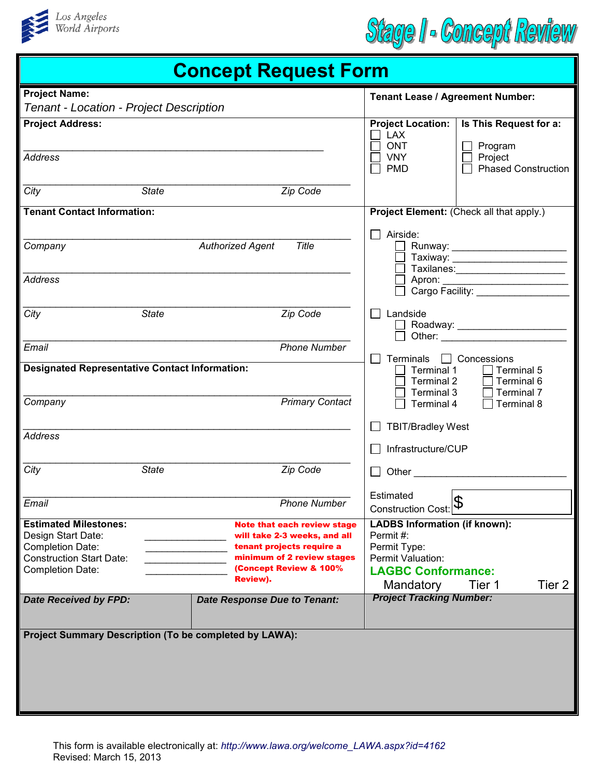



| <b>Concept Request Form</b>                                                                                                                 |                                                                                                                                                                     |                                                                                                                    |                                        |  |
|---------------------------------------------------------------------------------------------------------------------------------------------|---------------------------------------------------------------------------------------------------------------------------------------------------------------------|--------------------------------------------------------------------------------------------------------------------|----------------------------------------|--|
| <b>Project Name:</b><br>Tenant - Location - Project Description                                                                             |                                                                                                                                                                     | Tenant Lease / Agreement Number:                                                                                   |                                        |  |
| <b>Project Address:</b>                                                                                                                     |                                                                                                                                                                     | <b>Project Location:</b><br><b>LAX</b><br><b>ONT</b>                                                               | Is This Request for a:<br>Program      |  |
| <b>Address</b>                                                                                                                              |                                                                                                                                                                     | <b>VNY</b><br><b>PMD</b>                                                                                           | Project<br><b>Phased Construction</b>  |  |
| <b>State</b><br>City                                                                                                                        | Zip Code                                                                                                                                                            |                                                                                                                    |                                        |  |
| <b>Tenant Contact Information:</b>                                                                                                          |                                                                                                                                                                     | Project Element: (Check all that apply.)                                                                           |                                        |  |
| Company                                                                                                                                     | Title<br><b>Authorized Agent</b>                                                                                                                                    | Airside:<br>Taxiway: __________________                                                                            |                                        |  |
| <b>Address</b>                                                                                                                              |                                                                                                                                                                     |                                                                                                                    |                                        |  |
| City<br><b>State</b>                                                                                                                        | Zip Code                                                                                                                                                            | Landside<br>Roadway: _____________________                                                                         |                                        |  |
| Email                                                                                                                                       | <b>Phone Number</b>                                                                                                                                                 | <b>Terminals</b>                                                                                                   | $\Box$ Concessions                     |  |
| <b>Designated Representative Contact Information:</b>                                                                                       |                                                                                                                                                                     | Terminal 1<br>Terminal 2<br>Terminal 3                                                                             | Terminal 5<br>Terminal 6<br>Terminal 7 |  |
| Company                                                                                                                                     | <b>Primary Contact</b>                                                                                                                                              | Terminal 4<br><b>TBIT/Bradley West</b>                                                                             | Terminal 8                             |  |
| <b>Address</b>                                                                                                                              |                                                                                                                                                                     | Infrastructure/CUP                                                                                                 |                                        |  |
| City<br><b>State</b>                                                                                                                        | Zip Code                                                                                                                                                            |                                                                                                                    |                                        |  |
| Email                                                                                                                                       | <b>Phone Number</b>                                                                                                                                                 | Estimated<br>Construction Cost: D                                                                                  |                                        |  |
| <b>Estimated Milestones:</b><br>Design Start Date:<br><b>Completion Date:</b><br><b>Construction Start Date:</b><br><b>Completion Date:</b> | Note that each review stage<br>will take 2-3 weeks, and all<br>tenant projects require a<br>minimum of 2 review stages<br>(Concept Review & 100%<br><b>Review).</b> | <b>LADBS Information (if known):</b><br>Permit#:<br>Permit Type:<br>Permit Valuation:<br><b>LAGBC Conformance:</b> |                                        |  |
| <b>Date Received by FPD:</b>                                                                                                                | <b>Date Response Due to Tenant:</b>                                                                                                                                 | Mandatory<br><b>Project Tracking Number:</b>                                                                       | Tier 2<br>Tier 1                       |  |
| Project Summary Description (To be completed by LAWA):                                                                                      |                                                                                                                                                                     |                                                                                                                    |                                        |  |